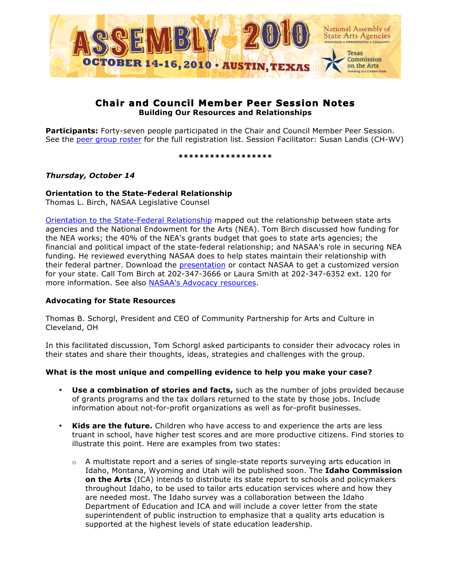

# **Chair and Council Member Peer Session Notes Building Our Resources and Relationships**

**Participants:** Forty-seven people participated in the Chair and Council Member Peer Session. See the [peer group roster](http://www.nasaa-arts.org/My-NASAA/Peer-Groups/Ch&CmRoster.XLS) for the full registration list. Session Facilitator: Susan Landis (CH-WV)

**\*\*\*\*\*\*\*\*\*\*\*\*\*\*\*\*\*\***

## *Thursday, October 14*

# **Orientation to the State-Federal Relationship**

Thomas L. Birch, NASAA Legislative Counsel

[Orientation to the State-Federal Relationship](http://www.nasaa-arts.org/Learning-Services/Past-Meetings/Assembly-2010-Proceedings/Orientationto-State-Fed-Relationship-Austin-Council-Version.pdf) mapped out the relationship between state arts agencies and the National Endowment for the Arts (NEA). Tom Birch discussed how funding for the NEA works; the 40% of the NEA's grants budget that goes to state arts agencies; the financial and political impact of the state-federal relationship; and NASAA's role in securing NEA funding. He reviewed everything NASAA does to help states maintain their relationship with their federal partner. Download the [presentation](http://www.nasaa-arts.org/Learning-Services/Past-Meetings/Assembly-2010-Proceedings/Orientationto-State-Fed-Relationship-Austin-Council-Version.pdf) or contact NASAA to get a customized version for your state. Call Tom Birch at 202-347-3666 or Laura Smith at 202-347-6352 ext. 120 for more information. See also [NASAA's Advocacy resources.](http://www.nasaa-arts.org/Advocacy/Advocacy-Tools/index.php)

### **Advocating for State Resources**

Thomas B. Schorgl, President and CEO of Community Partnership for Arts and Culture in Cleveland, OH

In this facilitated discussion, Tom Schorgl asked participants to consider their advocacy roles in their states and share their thoughts, ideas, strategies and challenges with the group.

# **What is the most unique and compelling evidence to help you make your case?**

- **Use a combination of stories and facts,** such as the number of jobs provided because of grants programs and the tax dollars returned to the state by those jobs. Include information about not-for-profit organizations as well as for-profit businesses.
- **Kids are the future.** Children who have access to and experience the arts are less truant in school, have higher test scores and are more productive citizens. Find stories to illustrate this point. Here are examples from two states:
	- $\circ$  A multistate report and a series of single-state reports surveying arts education in Idaho, Montana, Wyoming and Utah will be published soon. The **Idaho Commission on the Arts** (ICA) intends to distribute its state report to schools and policymakers throughout Idaho, to be used to tailor arts education services where and how they are needed most. The Idaho survey was a collaboration between the Idaho Department of Education and ICA and will include a cover letter from the state superintendent of public instruction to emphasize that a quality arts education is supported at the highest levels of state education leadership.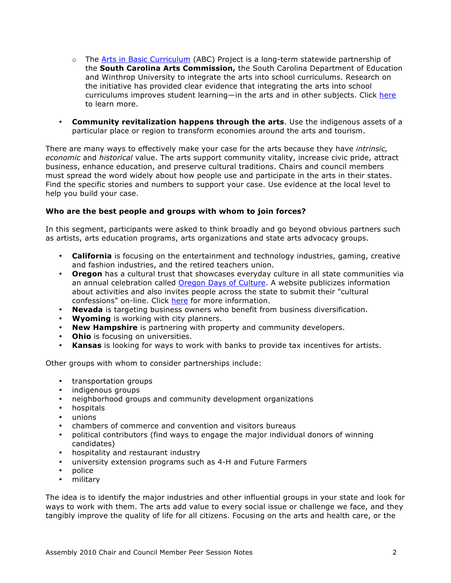- $\circ$  The [Arts in Basic Curriculum \(](http://www.southcarolinaarts.com/grants/aie/aieover.shtml)ABC) Project is a long-term statewide partnership of the **South Carolina Arts Commission,** the South Carolina Department of Education and Winthrop University to integrate the arts into school curriculums. Research on the initiative has provided clear evidence that integrating the arts into school curriculums improves student learning—in the arts and in other subjects. Click [here](http://www2.winthrop.edu/abc/) to learn more.
- **Community revitalization happens through the arts**. Use the indigenous assets of a particular place or region to transform economies around the arts and tourism.

There are many ways to effectively make your case for the arts because they have *intrinsic, economic* and *historical* value. The arts support community vitality, increase civic pride, attract business, enhance education, and preserve cultural traditions. Chairs and council members must spread the word widely about how people use and participate in the arts in their states. Find the specific stories and numbers to support your case. Use evidence at the local level to help you build your case.

### **Who are the best people and groups with whom to join forces?**

In this segment, participants were asked to think broadly and go beyond obvious partners such as artists, arts education programs, arts organizations and state arts advocacy groups.

- **California** is focusing on the entertainment and technology industries, gaming, creative and fashion industries, and the retired teachers union.
- **Oregon** has a cultural trust that showcases everyday culture in all state communities via an annual celebration called [Oregon Days of Culture.](http://www.oregondaysofculture.org/) A website publicizes information about activities and also invites people across the state to submit their "cultural confessions" on-line. Click [here](http://www.culturaltrust.org/about/press_releases/ODoC10 Announcement Release 081310.pdf) for more information.
- **Nevada** is targeting business owners who benefit from business diversification.
- **Wyoming** is working with city planners.
- **New Hampshire** is partnering with property and community developers.
- **Ohio** is focusing on universities.
- **Kansas** is looking for ways to work with banks to provide tax incentives for artists.

Other groups with whom to consider partnerships include:

- transportation groups
- indigenous groups
- neighborhood groups and community development organizations
- hospitals
- unions
- chambers of commerce and convention and visitors bureaus
- political contributors (find ways to engage the major individual donors of winning candidates)
- hospitality and restaurant industry
- university extension programs such as 4-H and Future Farmers
- police
- military

The idea is to identify the major industries and other influential groups in your state and look for ways to work with them. The arts add value to every social issue or challenge we face, and they tangibly improve the quality of life for all citizens. Focusing on the arts and health care, or the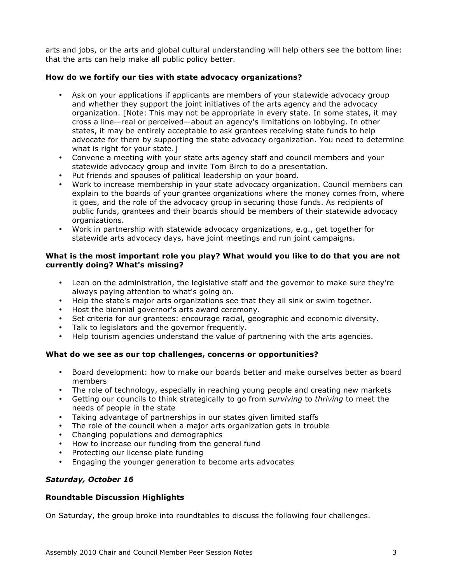arts and jobs, or the arts and global cultural understanding will help others see the bottom line: that the arts can help make all public policy better.

### **How do we fortify our ties with state advocacy organizations?**

- Ask on your applications if applicants are members of your statewide advocacy group and whether they support the joint initiatives of the arts agency and the advocacy organization. [Note: This may not be appropriate in every state. In some states, it may cross a line—real or perceived—about an agency's limitations on lobbying. In other states, it may be entirely acceptable to ask grantees receiving state funds to help advocate for them by supporting the state advocacy organization. You need to determine what is right for your state.]
- Convene a meeting with your state arts agency staff and council members and your statewide advocacy group and invite Tom Birch to do a presentation.
- Put friends and spouses of political leadership on your board.
- Work to increase membership in your state advocacy organization. Council members can explain to the boards of your grantee organizations where the money comes from, where it goes, and the role of the advocacy group in securing those funds. As recipients of public funds, grantees and their boards should be members of their statewide advocacy organizations.
- Work in partnership with statewide advocacy organizations, e.g., get together for statewide arts advocacy days, have joint meetings and run joint campaigns.

### **What is the most important role you play? What would you like to do that you are not currently doing? What's missing?**

- Lean on the administration, the legislative staff and the governor to make sure they're always paying attention to what's going on.
- Help the state's major arts organizations see that they all sink or swim together.
- Host the biennial governor's arts award ceremony.
- Set criteria for our grantees: encourage racial, geographic and economic diversity.
- Talk to legislators and the governor frequently.
- Help tourism agencies understand the value of partnering with the arts agencies.

### **What do we see as our top challenges, concerns or opportunities?**

- Board development: how to make our boards better and make ourselves better as board members
- The role of technology, especially in reaching young people and creating new markets
- Getting our councils to think strategically to go from *surviving* to *thriving* to meet the needs of people in the state
- Taking advantage of partnerships in our states given limited staffs
- The role of the council when a major arts organization gets in trouble
- Changing populations and demographics
- How to increase our funding from the general fund
- Protecting our license plate funding
- Engaging the younger generation to become arts advocates

# *Saturday, October 16*

### **Roundtable Discussion Highlights**

On Saturday, the group broke into roundtables to discuss the following four challenges.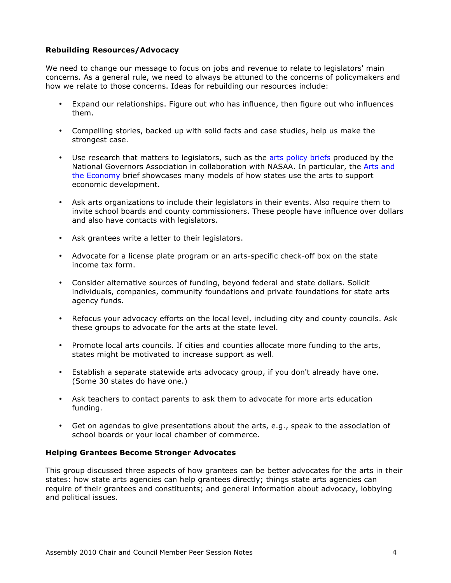### **Rebuilding Resources/Advocacy**

We need to change our message to focus on jobs and revenue to relate to legislators' main concerns. As a general rule, we need to always be attuned to the concerns of policymakers and how we relate to those concerns. Ideas for rebuilding our resources include:

- Expand our relationships. Figure out who has influence, then figure out who influences them.
- Compelling stories, backed up with solid facts and case studies, help us make the strongest case.
- Use research that matters to legislators, such as the [arts policy briefs](http://www.nasaa-arts.org/Research/Key-Topics/Creative-Economic-Development/National-Governors-Association-Center-for-Best-Practices-Arts-Policy-Publications.php) produced by the National Governors Association in collaboration with NASAA. In particular, the Arts and [the Economy](http://www.nga.org/Files/pdf/0901ARTSANDECONOMY.pdf) brief showcases many models of how states use the arts to support economic development.
- Ask arts organizations to include their legislators in their events. Also require them to invite school boards and county commissioners. These people have influence over dollars and also have contacts with legislators.
- Ask grantees write a letter to their legislators.
- Advocate for a license plate program or an arts-specific check-off box on the state income tax form.
- Consider alternative sources of funding, beyond federal and state dollars. Solicit individuals, companies, community foundations and private foundations for state arts agency funds.
- Refocus your advocacy efforts on the local level, including city and county councils. Ask these groups to advocate for the arts at the state level.
- Promote local arts councils. If cities and counties allocate more funding to the arts, states might be motivated to increase support as well.
- Establish a separate statewide arts advocacy group, if you don't already have one. (Some 30 states do have one.)
- Ask teachers to contact parents to ask them to advocate for more arts education funding.
- Get on agendas to give presentations about the arts, e.g., speak to the association of school boards or your local chamber of commerce.

### **Helping Grantees Become Stronger Advocates**

This group discussed three aspects of how grantees can be better advocates for the arts in their states: how state arts agencies can help grantees directly; things state arts agencies can require of their grantees and constituents; and general information about advocacy, lobbying and political issues.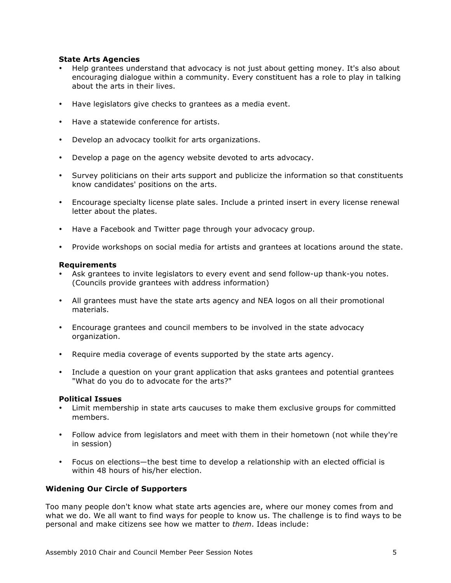### **State Arts Agencies**

- Help grantees understand that advocacy is not just about getting money. It's also about encouraging dialogue within a community. Every constituent has a role to play in talking about the arts in their lives.
- Have legislators give checks to grantees as a media event.
- Have a statewide conference for artists.
- Develop an advocacy toolkit for arts organizations.
- Develop a page on the agency website devoted to arts advocacy.
- Survey politicians on their arts support and publicize the information so that constituents know candidates' positions on the arts.
- Encourage specialty license plate sales. Include a printed insert in every license renewal letter about the plates.
- Have a Facebook and Twitter page through your advocacy group.
- Provide workshops on social media for artists and grantees at locations around the state.

### **Requirements**

- Ask grantees to invite legislators to every event and send follow-up thank-you notes. (Councils provide grantees with address information)
- All grantees must have the state arts agency and NEA logos on all their promotional materials.
- Encourage grantees and council members to be involved in the state advocacy organization.
- Require media coverage of events supported by the state arts agency.
- Include a question on your grant application that asks grantees and potential grantees "What do you do to advocate for the arts?"

### **Political Issues**

- Limit membership in state arts caucuses to make them exclusive groups for committed members.
- Follow advice from legislators and meet with them in their hometown (not while they're in session)
- Focus on elections—the best time to develop a relationship with an elected official is within 48 hours of his/her election.

# **Widening Our Circle of Supporters**

Too many people don't know what state arts agencies are, where our money comes from and what we do. We all want to find ways for people to know us. The challenge is to find ways to be personal and make citizens see how we matter to *them*. Ideas include: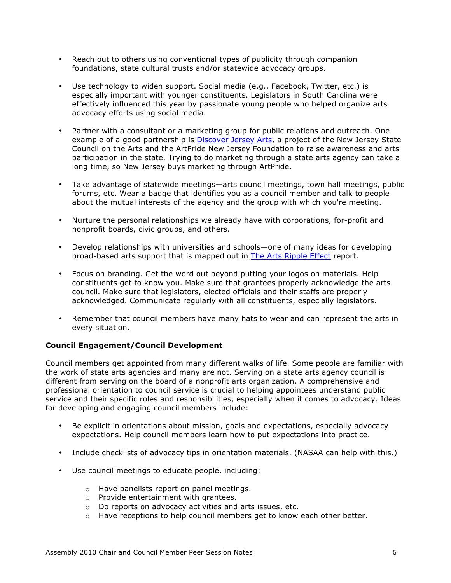- Reach out to others using conventional types of publicity through companion foundations, state cultural trusts and/or statewide advocacy groups.
- Use technology to widen support. Social media (e.g., Facebook, Twitter, etc.) is especially important with younger constituents. Legislators in South Carolina were effectively influenced this year by passionate young people who helped organize arts advocacy efforts using social media.
- Partner with a consultant or a marketing group for public relations and outreach. One example of a good partnership is [Discover Jersey Arts,](http://www.njartscouncil.org/discoverjerseyarts.cfm) a project of the New Jersey State Council on the Arts and the ArtPride New Jersey Foundation to raise awareness and arts participation in the state. Trying to do marketing through a state arts agency can take a long time, so New Jersey buys marketing through ArtPride.
- Take advantage of statewide meetings—arts council meetings, town hall meetings, public forums, etc. Wear a badge that identifies you as a council member and talk to people about the mutual interests of the agency and the group with which you're meeting.
- Nurture the personal relationships we already have with corporations, for-profit and nonprofit boards, civic groups, and others.
- Develop relationships with universities and schools—one of many ideas for developing broad-based arts support that is mapped out in [The Arts Ripple Effect](http://www.theartswave.org/about/research-reports) report.
- Focus on branding. Get the word out beyond putting your logos on materials. Help constituents get to know you. Make sure that grantees properly acknowledge the arts council. Make sure that legislators, elected officials and their staffs are properly acknowledged. Communicate regularly with all constituents, especially legislators.
- Remember that council members have many hats to wear and can represent the arts in every situation.

### **Council Engagement/Council Development**

Council members get appointed from many different walks of life. Some people are familiar with the work of state arts agencies and many are not. Serving on a state arts agency council is different from serving on the board of a nonprofit arts organization. A comprehensive and professional orientation to council service is crucial to helping appointees understand public service and their specific roles and responsibilities, especially when it comes to advocacy. Ideas for developing and engaging council members include:

- Be explicit in orientations about mission, goals and expectations, especially advocacy expectations. Help council members learn how to put expectations into practice.
- Include checklists of advocacy tips in orientation materials. (NASAA can help with this.)
- Use council meetings to educate people, including:
	- o Have panelists report on panel meetings.
	- o Provide entertainment with grantees.
	- o Do reports on advocacy activities and arts issues, etc.
	- $\circ$  Have receptions to help council members get to know each other better.